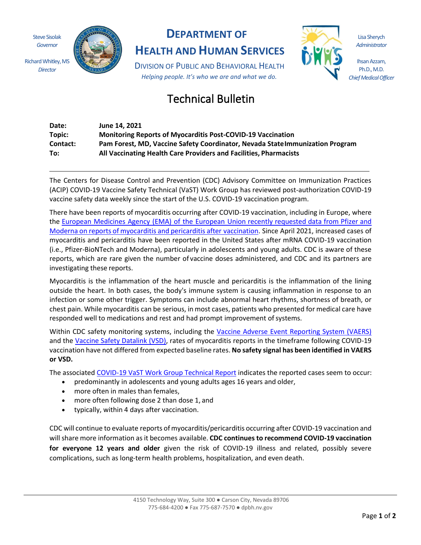Steve Sisolak *Governor*

Richard Whitley, MS *Director*



# **DEPARTMENT OF**

**HEALTH AND HUMAN SERVICES**

DIVISION OF PUBLIC AND BEHAVIORAL HEALTH *Helping people. It's who we are and what we do.*

# Technical Bulletin

| Date:    | June 14. 2021                                                                 |
|----------|-------------------------------------------------------------------------------|
| Topic:   | <b>Monitoring Reports of Myocarditis Post-COVID-19 Vaccination</b>            |
| Contact: | Pam Forest, MD, Vaccine Safety Coordinator, Nevada State Immunization Program |
| To:      | All Vaccinating Health Care Providers and Facilities, Pharmacists             |

The Centers for Disease Control and Prevention (CDC) Advisory Committee on Immunization Practices (ACIP) COVID-19 Vaccine Safety Technical (VaST) Work Group has reviewed post-authorization COVID-19 vaccine safety data weekly since the start of the U.S. COVID-19 vaccination program.

There have been reports of myocarditis occurring after COVID-19 vaccination, including in Europe, where the European Medicines Agency (EMA) of the European Union recently requested data from Pfizer and Moderna on reports of myocarditis and pericarditis after vaccination. Since April 2021, increased cases of myocarditis and pericarditis have been reported in the United States after mRNA COVID-19 vaccination (i.e., Pfizer-BioNTech and Moderna), particularly in adolescents and young adults. CDC is aware of these reports, which are rare given the number of vaccine doses administered, and CDC and its partners are investigating these reports.

Myocarditis is the inflammation of the heart muscle and pericarditis is the inflammation of the lining outside the heart. In both cases, the body's immune system is causing inflammation in response to an infection or some other trigger. Symptoms can include abnormal heart rhythms, shortness of breath, or chest pain. While myocarditis can be serious, in most cases, patients who presented for medical care have responded well to medications and rest and had prompt improvement of systems.

Within CDC safety monitoring systems, including the Vaccine Adverse Event Reporting System (VAERS) and the Vaccine Safety Datalink (VSD), rates of myocarditis reports in the timeframe following COVID-19 vaccination have not differed from expected baseline rates. **No safety signal has been identified in VAERS or VSD.**

The associated COVID-19 VaST Work Group Technical Report indicates the reported cases seem to occur:

- predominantly in adolescents and young adults ages 16 years and older,
- more often in males than females,
- more often following dose 2 than dose 1, and
- typically, within 4 days after vaccination.

CDC will continue to evaluate reports ofmyocarditis/pericarditis occurring after COVID-19 vaccination and willshare more information as it becomes available. **CDC continues to recommend COVID-19 vaccination for everyone 12 years and older** given the risk of COVID-19 illness and related, possibly severe complications, such as long-term health problems, hospitalization, and even death.

Lisa Sherych *Administrator*

Ihsan Azzam, Ph.D., M.D. *Chief Medical Officer*